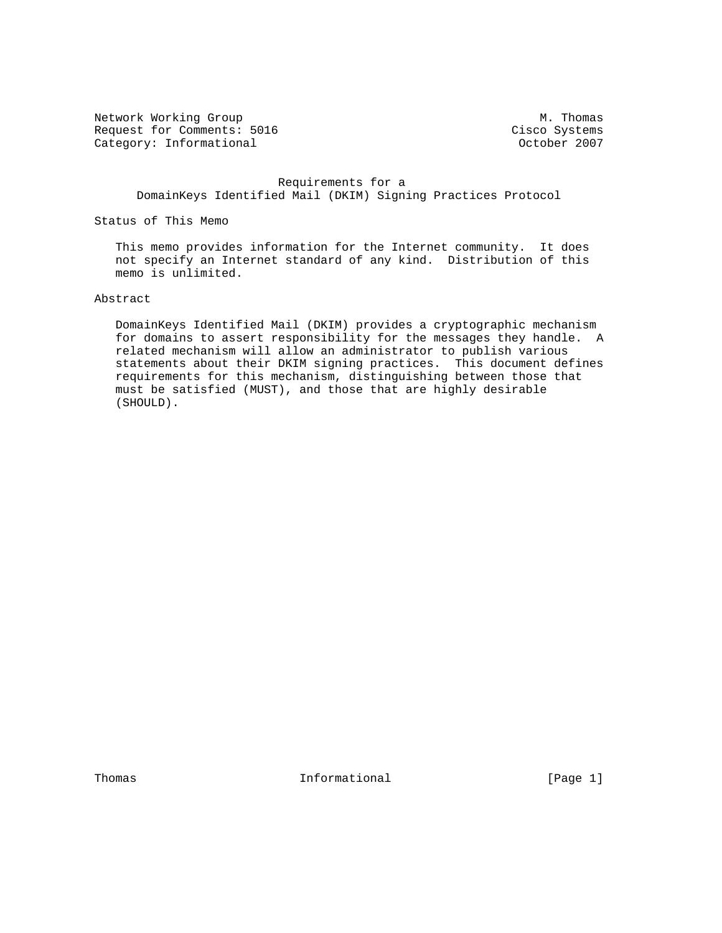Network Working Group Methods and Muslim Muslim Muslim Muslim Muslim Muslim Muslim Muslim Muslim Muslim Muslim Request for Comments: 5016 Cisco Systems<br>
Category: Informational Category: Comments: 5016 Category: Informational

 Requirements for a DomainKeys Identified Mail (DKIM) Signing Practices Protocol

Status of This Memo

 This memo provides information for the Internet community. It does not specify an Internet standard of any kind. Distribution of this memo is unlimited.

# Abstract

 DomainKeys Identified Mail (DKIM) provides a cryptographic mechanism for domains to assert responsibility for the messages they handle. A related mechanism will allow an administrator to publish various statements about their DKIM signing practices. This document defines requirements for this mechanism, distinguishing between those that must be satisfied (MUST), and those that are highly desirable (SHOULD).

Thomas **Informational Informational Informational** [Page 1]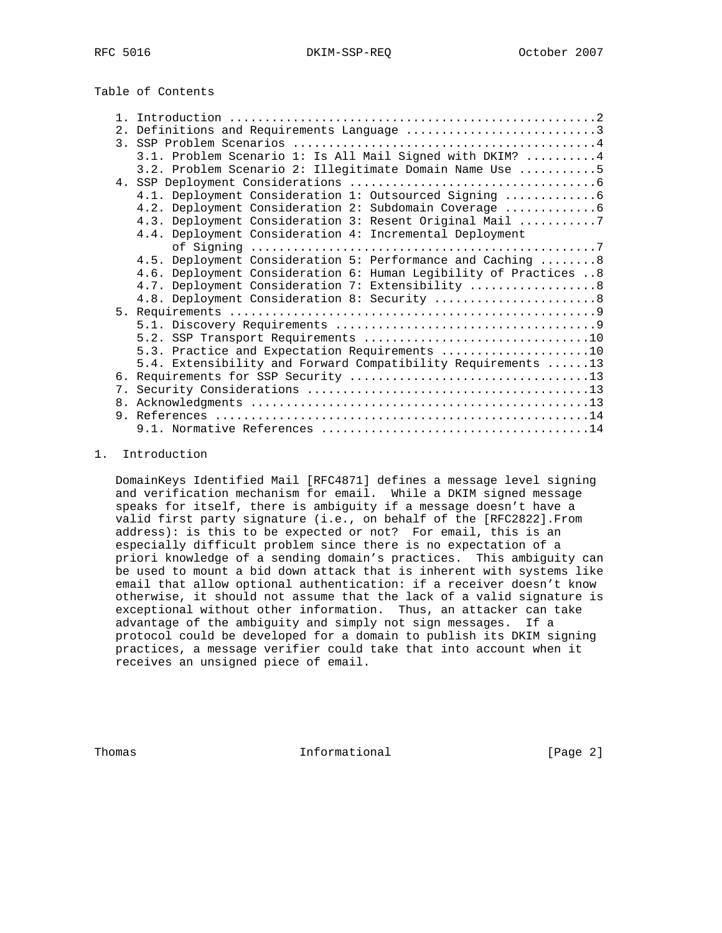Table of Contents

|  | 2. Definitions and Requirements Language 3                        |
|--|-------------------------------------------------------------------|
|  |                                                                   |
|  | 3.1. Problem Scenario 1: Is All Mail Signed with DKIM?  4         |
|  | 3.2. Problem Scenario 2: Illegitimate Domain Name Use 5           |
|  |                                                                   |
|  | 4.1. Deployment Consideration 1: Outsourced Signing  6            |
|  | 4.2. Deployment Consideration 2: Subdomain Coverage  6            |
|  | 4.3. Deployment Consideration 3: Resent Original Mail 7           |
|  | 4.4. Deployment Consideration 4: Incremental Deployment           |
|  |                                                                   |
|  | 4.5. Deployment Consideration 5: Performance and Caching  8       |
|  | 4.6. Deployment Consideration 6: Human Legibility of Practices  8 |
|  | 4.7. Deployment Consideration 7: Extensibility  8                 |
|  | 4.8. Deployment Consideration 8: Security  8                      |
|  |                                                                   |
|  |                                                                   |
|  |                                                                   |
|  | 5.3. Practice and Expectation Requirements 10                     |
|  | 5.4. Extensibility and Forward Compatibility Requirements 13      |
|  |                                                                   |
|  |                                                                   |
|  |                                                                   |
|  |                                                                   |
|  |                                                                   |
|  |                                                                   |

#### 1. Introduction

 DomainKeys Identified Mail [RFC4871] defines a message level signing and verification mechanism for email. While a DKIM signed message speaks for itself, there is ambiguity if a message doesn't have a valid first party signature (i.e., on behalf of the [RFC2822].From address): is this to be expected or not? For email, this is an especially difficult problem since there is no expectation of a priori knowledge of a sending domain's practices. This ambiguity can be used to mount a bid down attack that is inherent with systems like email that allow optional authentication: if a receiver doesn't know otherwise, it should not assume that the lack of a valid signature is exceptional without other information. Thus, an attacker can take advantage of the ambiguity and simply not sign messages. If a protocol could be developed for a domain to publish its DKIM signing practices, a message verifier could take that into account when it receives an unsigned piece of email.

Thomas **Informational Informational** [Page 2]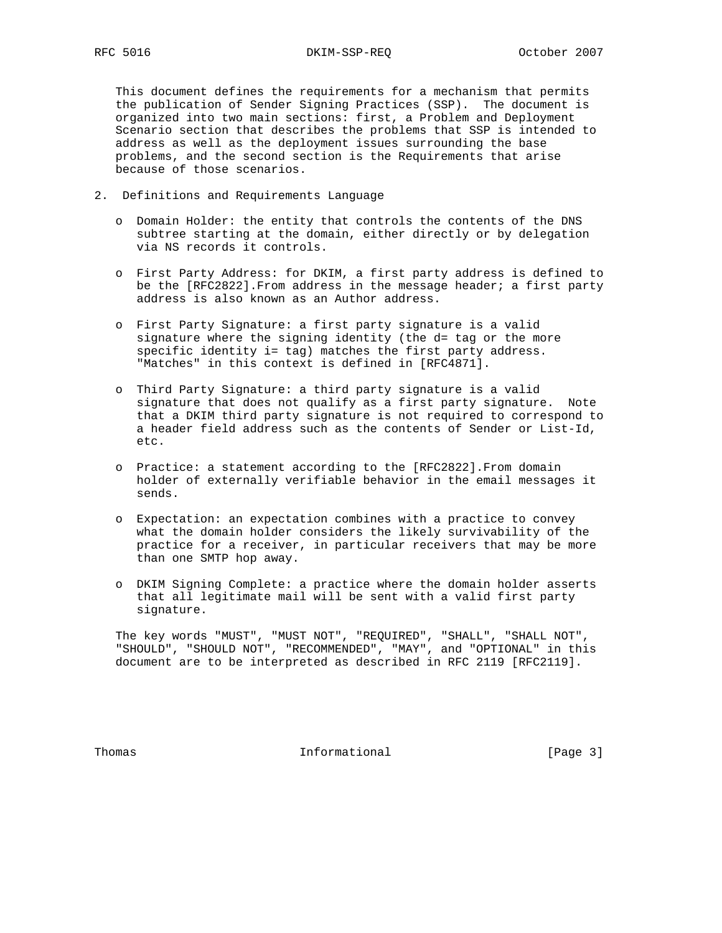This document defines the requirements for a mechanism that permits the publication of Sender Signing Practices (SSP). The document is organized into two main sections: first, a Problem and Deployment Scenario section that describes the problems that SSP is intended to address as well as the deployment issues surrounding the base problems, and the second section is the Requirements that arise because of those scenarios.

- 2. Definitions and Requirements Language
	- o Domain Holder: the entity that controls the contents of the DNS subtree starting at the domain, either directly or by delegation via NS records it controls.
	- o First Party Address: for DKIM, a first party address is defined to be the [RFC2822].From address in the message header; a first party address is also known as an Author address.
	- o First Party Signature: a first party signature is a valid signature where the signing identity (the d= tag or the more specific identity i= tag) matches the first party address. "Matches" in this context is defined in [RFC4871].
	- o Third Party Signature: a third party signature is a valid signature that does not qualify as a first party signature. Note that a DKIM third party signature is not required to correspond to a header field address such as the contents of Sender or List-Id, etc.
	- o Practice: a statement according to the [RFC2822].From domain holder of externally verifiable behavior in the email messages it sends.
	- o Expectation: an expectation combines with a practice to convey what the domain holder considers the likely survivability of the practice for a receiver, in particular receivers that may be more than one SMTP hop away.
	- o DKIM Signing Complete: a practice where the domain holder asserts that all legitimate mail will be sent with a valid first party signature.

 The key words "MUST", "MUST NOT", "REQUIRED", "SHALL", "SHALL NOT", "SHOULD", "SHOULD NOT", "RECOMMENDED", "MAY", and "OPTIONAL" in this document are to be interpreted as described in RFC 2119 [RFC2119].

Thomas **Informational Informational** [Page 3]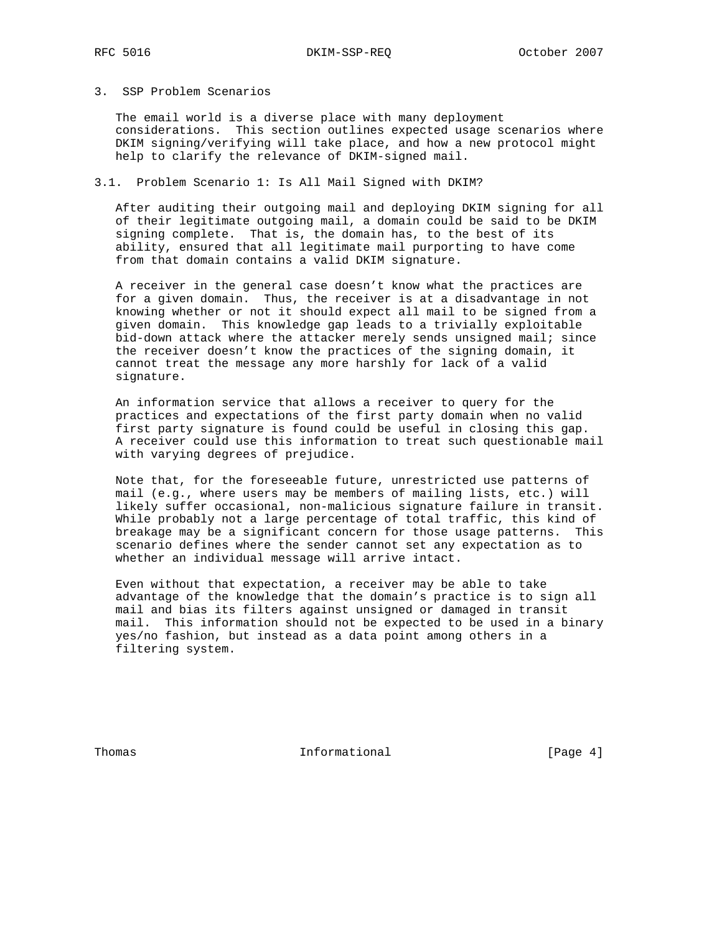#### 3. SSP Problem Scenarios

 The email world is a diverse place with many deployment considerations. This section outlines expected usage scenarios where DKIM signing/verifying will take place, and how a new protocol might help to clarify the relevance of DKIM-signed mail.

### 3.1. Problem Scenario 1: Is All Mail Signed with DKIM?

 After auditing their outgoing mail and deploying DKIM signing for all of their legitimate outgoing mail, a domain could be said to be DKIM signing complete. That is, the domain has, to the best of its ability, ensured that all legitimate mail purporting to have come from that domain contains a valid DKIM signature.

 A receiver in the general case doesn't know what the practices are for a given domain. Thus, the receiver is at a disadvantage in not knowing whether or not it should expect all mail to be signed from a given domain. This knowledge gap leads to a trivially exploitable bid-down attack where the attacker merely sends unsigned mail; since the receiver doesn't know the practices of the signing domain, it cannot treat the message any more harshly for lack of a valid signature.

 An information service that allows a receiver to query for the practices and expectations of the first party domain when no valid first party signature is found could be useful in closing this gap. A receiver could use this information to treat such questionable mail with varying degrees of prejudice.

 Note that, for the foreseeable future, unrestricted use patterns of mail (e.g., where users may be members of mailing lists, etc.) will likely suffer occasional, non-malicious signature failure in transit. While probably not a large percentage of total traffic, this kind of breakage may be a significant concern for those usage patterns. This scenario defines where the sender cannot set any expectation as to whether an individual message will arrive intact.

 Even without that expectation, a receiver may be able to take advantage of the knowledge that the domain's practice is to sign all mail and bias its filters against unsigned or damaged in transit mail. This information should not be expected to be used in a binary yes/no fashion, but instead as a data point among others in a filtering system.

Thomas 1nformational 1999 [Page 4]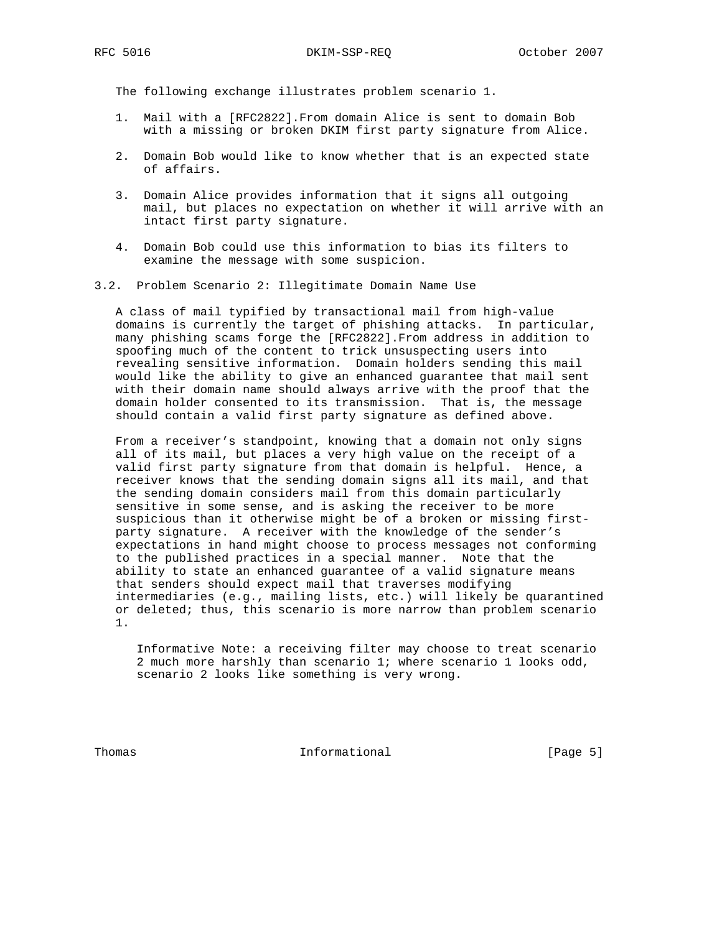The following exchange illustrates problem scenario 1.

- 1. Mail with a [RFC2822].From domain Alice is sent to domain Bob with a missing or broken DKIM first party signature from Alice.
- 2. Domain Bob would like to know whether that is an expected state of affairs.
- 3. Domain Alice provides information that it signs all outgoing mail, but places no expectation on whether it will arrive with an intact first party signature.
- 4. Domain Bob could use this information to bias its filters to examine the message with some suspicion.
- 3.2. Problem Scenario 2: Illegitimate Domain Name Use

 A class of mail typified by transactional mail from high-value domains is currently the target of phishing attacks. In particular, many phishing scams forge the [RFC2822].From address in addition to spoofing much of the content to trick unsuspecting users into revealing sensitive information. Domain holders sending this mail would like the ability to give an enhanced guarantee that mail sent with their domain name should always arrive with the proof that the domain holder consented to its transmission. That is, the message should contain a valid first party signature as defined above.

 From a receiver's standpoint, knowing that a domain not only signs all of its mail, but places a very high value on the receipt of a valid first party signature from that domain is helpful. Hence, a receiver knows that the sending domain signs all its mail, and that the sending domain considers mail from this domain particularly sensitive in some sense, and is asking the receiver to be more suspicious than it otherwise might be of a broken or missing first party signature. A receiver with the knowledge of the sender's expectations in hand might choose to process messages not conforming to the published practices in a special manner. Note that the ability to state an enhanced guarantee of a valid signature means that senders should expect mail that traverses modifying intermediaries (e.g., mailing lists, etc.) will likely be quarantined or deleted; thus, this scenario is more narrow than problem scenario 1.

 Informative Note: a receiving filter may choose to treat scenario 2 much more harshly than scenario 1; where scenario 1 looks odd, scenario 2 looks like something is very wrong.

Thomas **Informational Informational** [Page 5]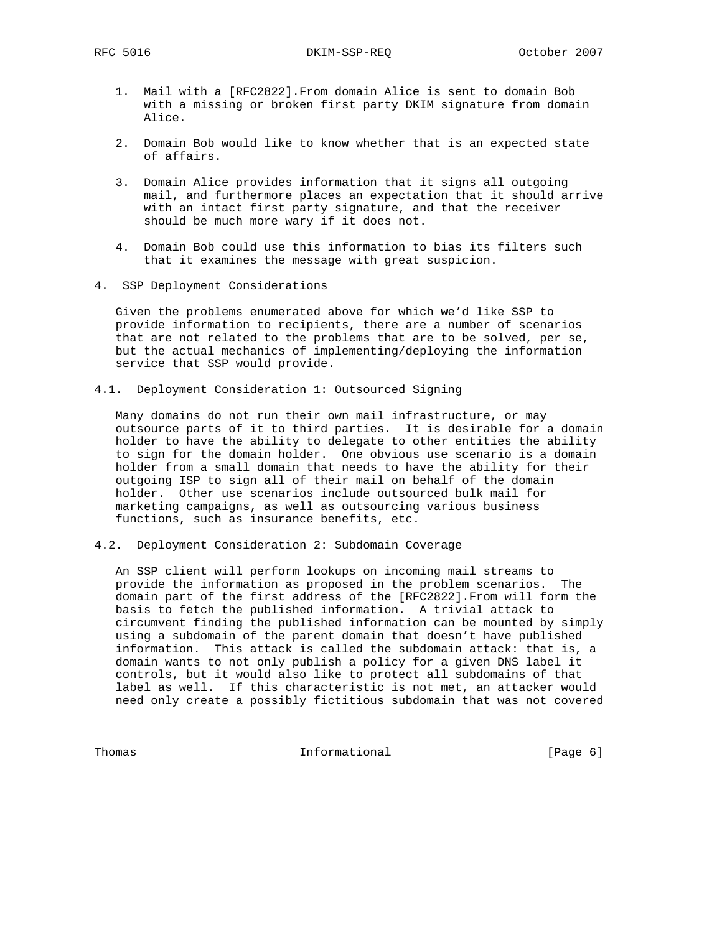RFC 5016 DKIM-SSP-REQ October 2007

- 1. Mail with a [RFC2822].From domain Alice is sent to domain Bob with a missing or broken first party DKIM signature from domain Alice.
- 2. Domain Bob would like to know whether that is an expected state of affairs.
- 3. Domain Alice provides information that it signs all outgoing mail, and furthermore places an expectation that it should arrive with an intact first party signature, and that the receiver should be much more wary if it does not.
- 4. Domain Bob could use this information to bias its filters such that it examines the message with great suspicion.
- 4. SSP Deployment Considerations

 Given the problems enumerated above for which we'd like SSP to provide information to recipients, there are a number of scenarios that are not related to the problems that are to be solved, per se, but the actual mechanics of implementing/deploying the information service that SSP would provide.

4.1. Deployment Consideration 1: Outsourced Signing

 Many domains do not run their own mail infrastructure, or may outsource parts of it to third parties. It is desirable for a domain holder to have the ability to delegate to other entities the ability to sign for the domain holder. One obvious use scenario is a domain holder from a small domain that needs to have the ability for their outgoing ISP to sign all of their mail on behalf of the domain holder. Other use scenarios include outsourced bulk mail for marketing campaigns, as well as outsourcing various business functions, such as insurance benefits, etc.

4.2. Deployment Consideration 2: Subdomain Coverage

 An SSP client will perform lookups on incoming mail streams to provide the information as proposed in the problem scenarios. The domain part of the first address of the [RFC2822].From will form the basis to fetch the published information. A trivial attack to circumvent finding the published information can be mounted by simply using a subdomain of the parent domain that doesn't have published information. This attack is called the subdomain attack: that is, a domain wants to not only publish a policy for a given DNS label it controls, but it would also like to protect all subdomains of that label as well. If this characteristic is not met, an attacker would need only create a possibly fictitious subdomain that was not covered

Thomas Informational [Page 6]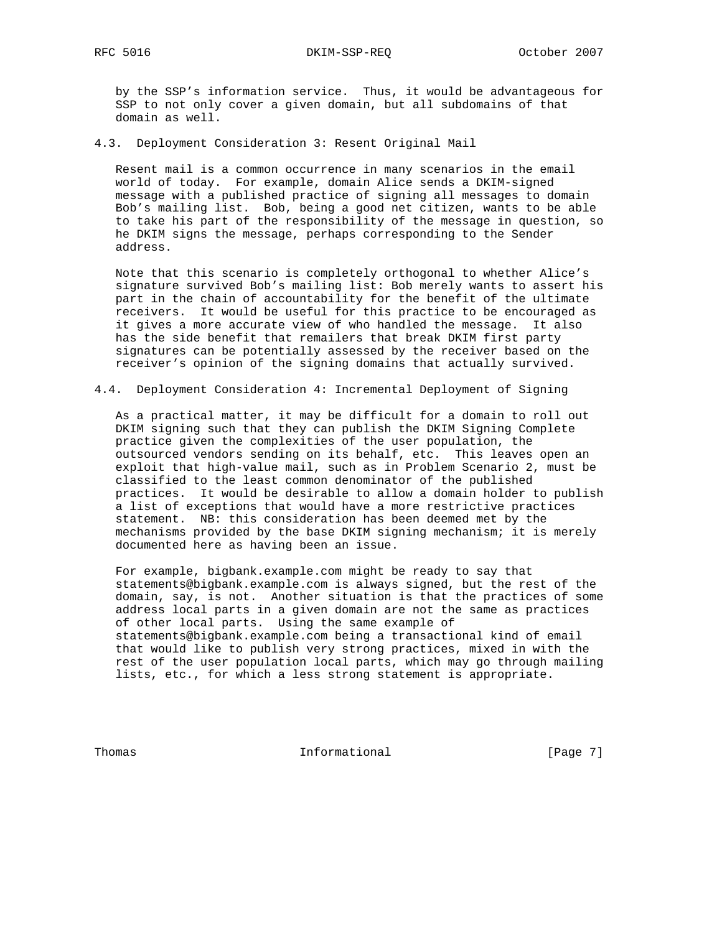by the SSP's information service. Thus, it would be advantageous for SSP to not only cover a given domain, but all subdomains of that domain as well.

4.3. Deployment Consideration 3: Resent Original Mail

 Resent mail is a common occurrence in many scenarios in the email world of today. For example, domain Alice sends a DKIM-signed message with a published practice of signing all messages to domain Bob's mailing list. Bob, being a good net citizen, wants to be able to take his part of the responsibility of the message in question, so he DKIM signs the message, perhaps corresponding to the Sender address.

 Note that this scenario is completely orthogonal to whether Alice's signature survived Bob's mailing list: Bob merely wants to assert his part in the chain of accountability for the benefit of the ultimate receivers. It would be useful for this practice to be encouraged as it gives a more accurate view of who handled the message. It also has the side benefit that remailers that break DKIM first party signatures can be potentially assessed by the receiver based on the receiver's opinion of the signing domains that actually survived.

4.4. Deployment Consideration 4: Incremental Deployment of Signing

 As a practical matter, it may be difficult for a domain to roll out DKIM signing such that they can publish the DKIM Signing Complete practice given the complexities of the user population, the outsourced vendors sending on its behalf, etc. This leaves open an exploit that high-value mail, such as in Problem Scenario 2, must be classified to the least common denominator of the published practices. It would be desirable to allow a domain holder to publish a list of exceptions that would have a more restrictive practices statement. NB: this consideration has been deemed met by the mechanisms provided by the base DKIM signing mechanism; it is merely documented here as having been an issue.

 For example, bigbank.example.com might be ready to say that statements@bigbank.example.com is always signed, but the rest of the domain, say, is not. Another situation is that the practices of some address local parts in a given domain are not the same as practices of other local parts. Using the same example of statements@bigbank.example.com being a transactional kind of email that would like to publish very strong practices, mixed in with the rest of the user population local parts, which may go through mailing lists, etc., for which a less strong statement is appropriate.

Thomas **Informational Informational** [Page 7]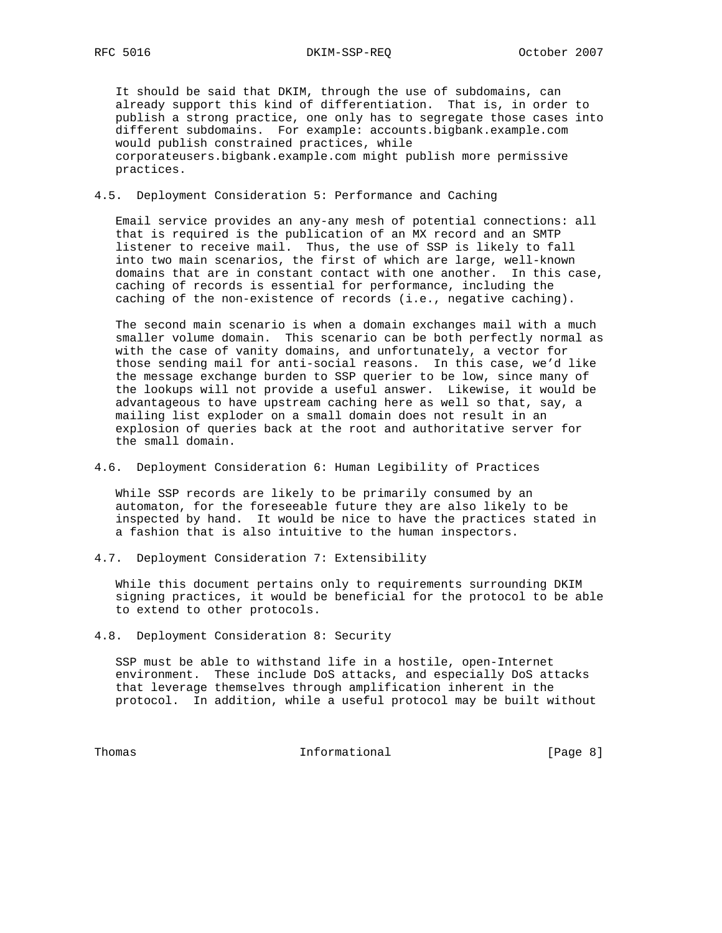It should be said that DKIM, through the use of subdomains, can already support this kind of differentiation. That is, in order to publish a strong practice, one only has to segregate those cases into different subdomains. For example: accounts.bigbank.example.com would publish constrained practices, while corporateusers.bigbank.example.com might publish more permissive practices.

#### 4.5. Deployment Consideration 5: Performance and Caching

 Email service provides an any-any mesh of potential connections: all that is required is the publication of an MX record and an SMTP listener to receive mail. Thus, the use of SSP is likely to fall into two main scenarios, the first of which are large, well-known domains that are in constant contact with one another. In this case, caching of records is essential for performance, including the caching of the non-existence of records (i.e., negative caching).

 The second main scenario is when a domain exchanges mail with a much smaller volume domain. This scenario can be both perfectly normal as with the case of vanity domains, and unfortunately, a vector for those sending mail for anti-social reasons. In this case, we'd like the message exchange burden to SSP querier to be low, since many of the lookups will not provide a useful answer. Likewise, it would be advantageous to have upstream caching here as well so that, say, a mailing list exploder on a small domain does not result in an explosion of queries back at the root and authoritative server for the small domain.

### 4.6. Deployment Consideration 6: Human Legibility of Practices

 While SSP records are likely to be primarily consumed by an automaton, for the foreseeable future they are also likely to be inspected by hand. It would be nice to have the practices stated in a fashion that is also intuitive to the human inspectors.

4.7. Deployment Consideration 7: Extensibility

 While this document pertains only to requirements surrounding DKIM signing practices, it would be beneficial for the protocol to be able to extend to other protocols.

4.8. Deployment Consideration 8: Security

 SSP must be able to withstand life in a hostile, open-Internet environment. These include DoS attacks, and especially DoS attacks that leverage themselves through amplification inherent in the protocol. In addition, while a useful protocol may be built without

Thomas **Informational Informational** [Page 8]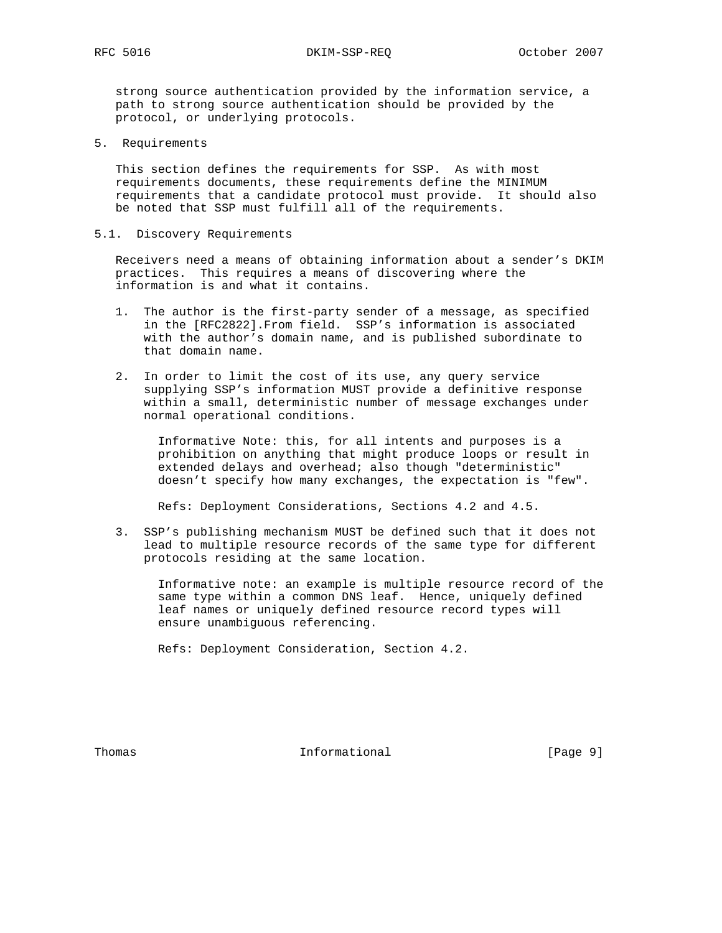strong source authentication provided by the information service, a path to strong source authentication should be provided by the protocol, or underlying protocols.

5. Requirements

 This section defines the requirements for SSP. As with most requirements documents, these requirements define the MINIMUM requirements that a candidate protocol must provide. It should also be noted that SSP must fulfill all of the requirements.

5.1. Discovery Requirements

 Receivers need a means of obtaining information about a sender's DKIM practices. This requires a means of discovering where the information is and what it contains.

- 1. The author is the first-party sender of a message, as specified in the [RFC2822].From field. SSP's information is associated with the author's domain name, and is published subordinate to that domain name.
- 2. In order to limit the cost of its use, any query service supplying SSP's information MUST provide a definitive response within a small, deterministic number of message exchanges under normal operational conditions.

 Informative Note: this, for all intents and purposes is a prohibition on anything that might produce loops or result in extended delays and overhead; also though "deterministic" doesn't specify how many exchanges, the expectation is "few".

Refs: Deployment Considerations, Sections 4.2 and 4.5.

 3. SSP's publishing mechanism MUST be defined such that it does not lead to multiple resource records of the same type for different protocols residing at the same location.

 Informative note: an example is multiple resource record of the same type within a common DNS leaf. Hence, uniquely defined leaf names or uniquely defined resource record types will ensure unambiguous referencing.

Refs: Deployment Consideration, Section 4.2.

Thomas **Informational Informational** [Page 9]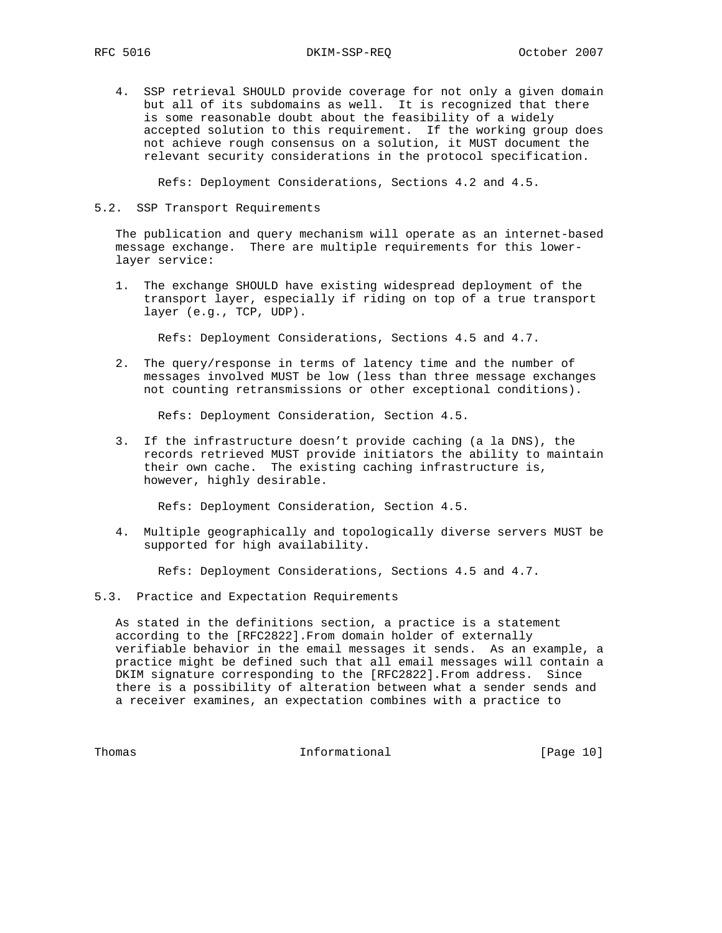4. SSP retrieval SHOULD provide coverage for not only a given domain but all of its subdomains as well. It is recognized that there is some reasonable doubt about the feasibility of a widely accepted solution to this requirement. If the working group does not achieve rough consensus on a solution, it MUST document the relevant security considerations in the protocol specification.

Refs: Deployment Considerations, Sections 4.2 and 4.5.

#### 5.2. SSP Transport Requirements

 The publication and query mechanism will operate as an internet-based message exchange. There are multiple requirements for this lower layer service:

 1. The exchange SHOULD have existing widespread deployment of the transport layer, especially if riding on top of a true transport layer (e.g., TCP, UDP).

Refs: Deployment Considerations, Sections 4.5 and 4.7.

 2. The query/response in terms of latency time and the number of messages involved MUST be low (less than three message exchanges not counting retransmissions or other exceptional conditions).

Refs: Deployment Consideration, Section 4.5.

 3. If the infrastructure doesn't provide caching (a la DNS), the records retrieved MUST provide initiators the ability to maintain their own cache. The existing caching infrastructure is, however, highly desirable.

Refs: Deployment Consideration, Section 4.5.

 4. Multiple geographically and topologically diverse servers MUST be supported for high availability.

Refs: Deployment Considerations, Sections 4.5 and 4.7.

5.3. Practice and Expectation Requirements

 As stated in the definitions section, a practice is a statement according to the [RFC2822].From domain holder of externally verifiable behavior in the email messages it sends. As an example, a practice might be defined such that all email messages will contain a DKIM signature corresponding to the [RFC2822].From address. Since there is a possibility of alteration between what a sender sends and a receiver examines, an expectation combines with a practice to

Thomas 1nformational [Page 10]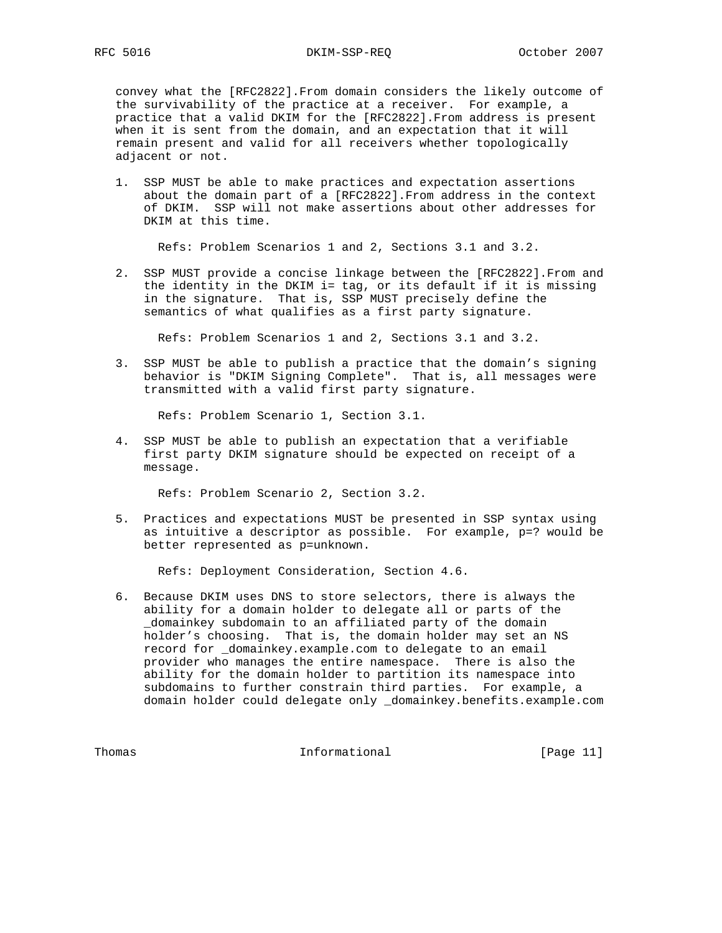# RFC 5016 DKIM-SSP-REQ October 2007

 convey what the [RFC2822].From domain considers the likely outcome of the survivability of the practice at a receiver. For example, a practice that a valid DKIM for the [RFC2822].From address is present when it is sent from the domain, and an expectation that it will remain present and valid for all receivers whether topologically adjacent or not.

 1. SSP MUST be able to make practices and expectation assertions about the domain part of a [RFC2822].From address in the context of DKIM. SSP will not make assertions about other addresses for DKIM at this time.

Refs: Problem Scenarios 1 and 2, Sections 3.1 and 3.2.

 2. SSP MUST provide a concise linkage between the [RFC2822].From and the identity in the DKIM i= tag, or its default if it is missing in the signature. That is, SSP MUST precisely define the semantics of what qualifies as a first party signature.

Refs: Problem Scenarios 1 and 2, Sections 3.1 and 3.2.

 3. SSP MUST be able to publish a practice that the domain's signing behavior is "DKIM Signing Complete". That is, all messages were transmitted with a valid first party signature.

Refs: Problem Scenario 1, Section 3.1.

 4. SSP MUST be able to publish an expectation that a verifiable first party DKIM signature should be expected on receipt of a message.

Refs: Problem Scenario 2, Section 3.2.

 5. Practices and expectations MUST be presented in SSP syntax using as intuitive a descriptor as possible. For example, p=? would be better represented as p=unknown.

Refs: Deployment Consideration, Section 4.6.

 6. Because DKIM uses DNS to store selectors, there is always the ability for a domain holder to delegate all or parts of the \_domainkey subdomain to an affiliated party of the domain holder's choosing. That is, the domain holder may set an NS record for \_domainkey.example.com to delegate to an email provider who manages the entire namespace. There is also the ability for the domain holder to partition its namespace into subdomains to further constrain third parties. For example, a domain holder could delegate only \_domainkey.benefits.example.com

Thomas 10.1 Informational 1.1 [Page 11]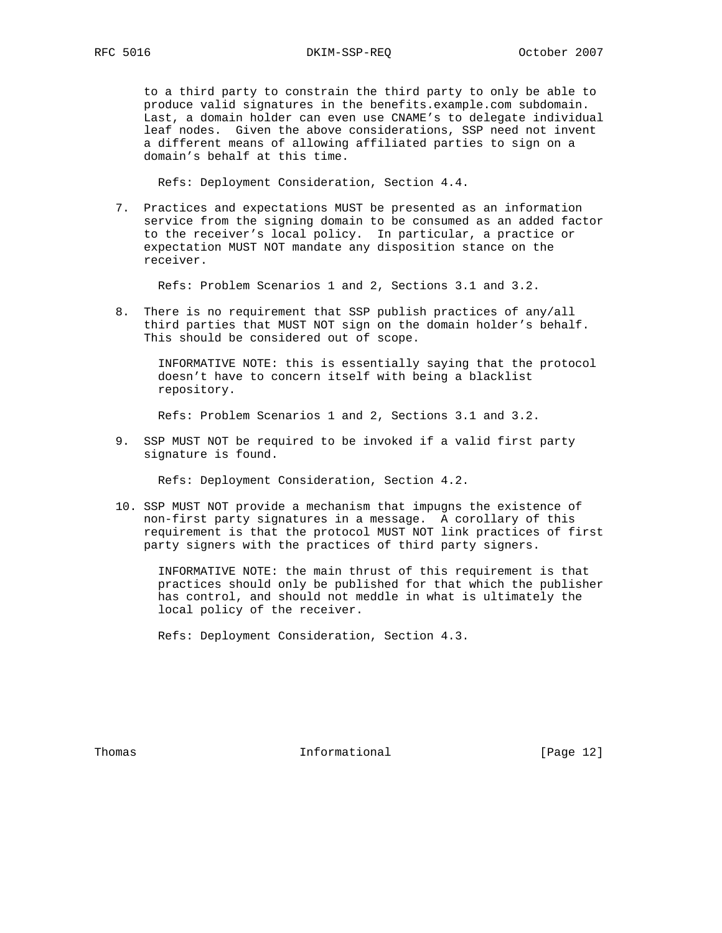to a third party to constrain the third party to only be able to produce valid signatures in the benefits.example.com subdomain. Last, a domain holder can even use CNAME's to delegate individual leaf nodes. Given the above considerations, SSP need not invent a different means of allowing affiliated parties to sign on a domain's behalf at this time.

Refs: Deployment Consideration, Section 4.4.

 7. Practices and expectations MUST be presented as an information service from the signing domain to be consumed as an added factor to the receiver's local policy. In particular, a practice or expectation MUST NOT mandate any disposition stance on the receiver.

Refs: Problem Scenarios 1 and 2, Sections 3.1 and 3.2.

 8. There is no requirement that SSP publish practices of any/all third parties that MUST NOT sign on the domain holder's behalf. This should be considered out of scope.

 INFORMATIVE NOTE: this is essentially saying that the protocol doesn't have to concern itself with being a blacklist repository.

Refs: Problem Scenarios 1 and 2, Sections 3.1 and 3.2.

 9. SSP MUST NOT be required to be invoked if a valid first party signature is found.

Refs: Deployment Consideration, Section 4.2.

 10. SSP MUST NOT provide a mechanism that impugns the existence of non-first party signatures in a message. A corollary of this requirement is that the protocol MUST NOT link practices of first party signers with the practices of third party signers.

 INFORMATIVE NOTE: the main thrust of this requirement is that practices should only be published for that which the publisher has control, and should not meddle in what is ultimately the local policy of the receiver.

Refs: Deployment Consideration, Section 4.3.

Thomas **Informational Informational** [Page 12]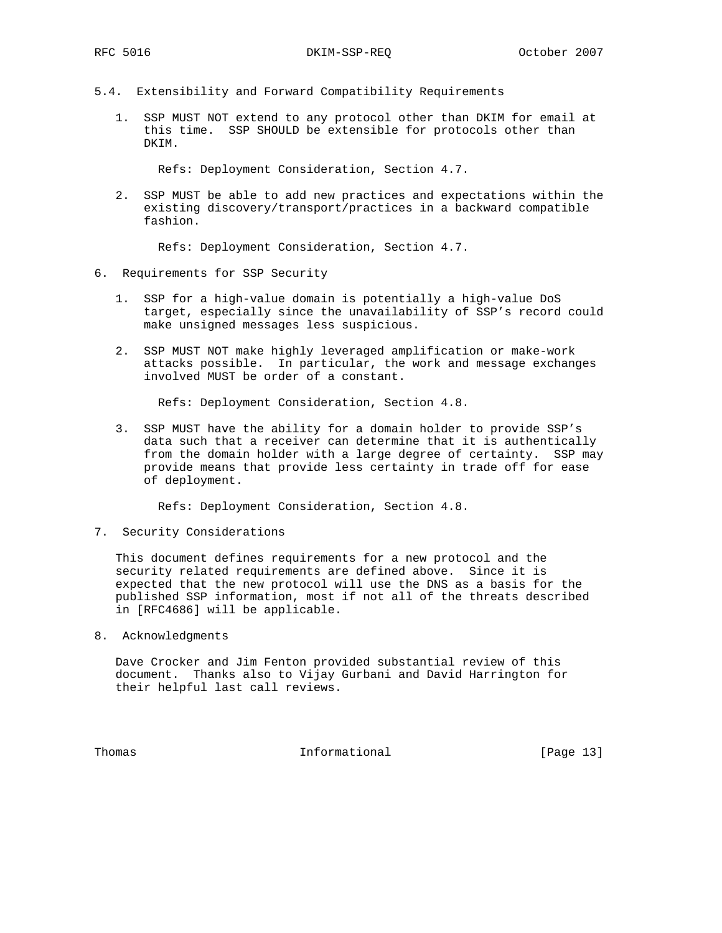- 5.4. Extensibility and Forward Compatibility Requirements
	- 1. SSP MUST NOT extend to any protocol other than DKIM for email at this time. SSP SHOULD be extensible for protocols other than DKIM.

Refs: Deployment Consideration, Section 4.7.

 2. SSP MUST be able to add new practices and expectations within the existing discovery/transport/practices in a backward compatible fashion.

Refs: Deployment Consideration, Section 4.7.

#### 6. Requirements for SSP Security

- 1. SSP for a high-value domain is potentially a high-value DoS target, especially since the unavailability of SSP's record could make unsigned messages less suspicious.
- 2. SSP MUST NOT make highly leveraged amplification or make-work attacks possible. In particular, the work and message exchanges involved MUST be order of a constant.

Refs: Deployment Consideration, Section 4.8.

 3. SSP MUST have the ability for a domain holder to provide SSP's data such that a receiver can determine that it is authentically from the domain holder with a large degree of certainty. SSP may provide means that provide less certainty in trade off for ease of deployment.

Refs: Deployment Consideration, Section 4.8.

7. Security Considerations

 This document defines requirements for a new protocol and the security related requirements are defined above. Since it is expected that the new protocol will use the DNS as a basis for the published SSP information, most if not all of the threats described in [RFC4686] will be applicable.

8. Acknowledgments

 Dave Crocker and Jim Fenton provided substantial review of this document. Thanks also to Vijay Gurbani and David Harrington for their helpful last call reviews.

Thomas **Informational Informational** [Page 13]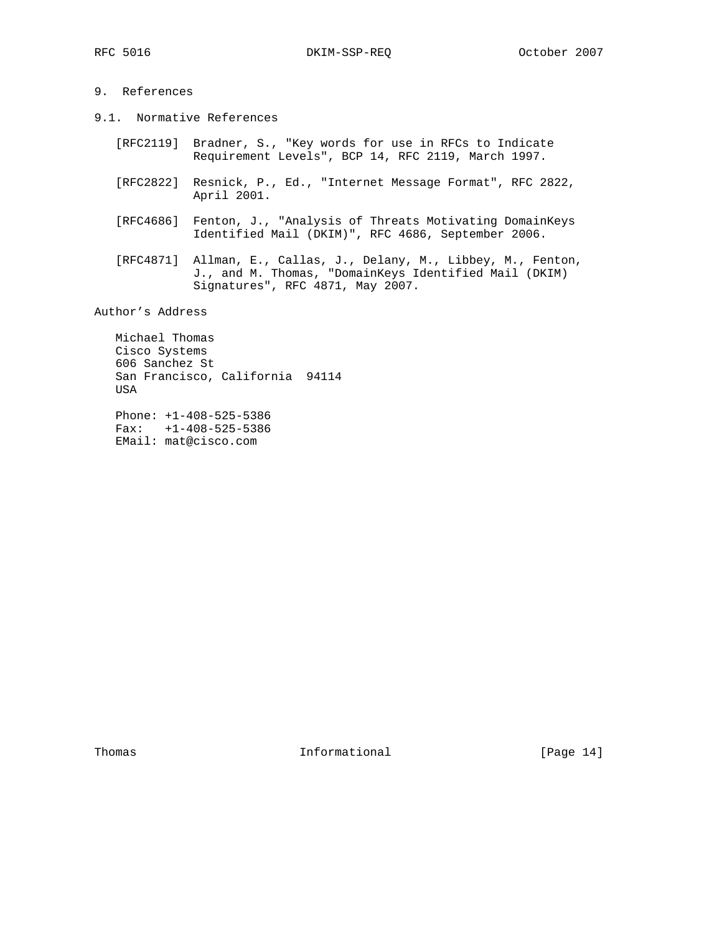## 9. References

- 9.1. Normative References
	- [RFC2119] Bradner, S., "Key words for use in RFCs to Indicate Requirement Levels", BCP 14, RFC 2119, March 1997.
	- [RFC2822] Resnick, P., Ed., "Internet Message Format", RFC 2822, April 2001.
	- [RFC4686] Fenton, J., "Analysis of Threats Motivating DomainKeys Identified Mail (DKIM)", RFC 4686, September 2006.
- [RFC4871] Allman, E., Callas, J., Delany, M., Libbey, M., Fenton, J., and M. Thomas, "DomainKeys Identified Mail (DKIM) Signatures", RFC 4871, May 2007.

Author's Address

 Michael Thomas Cisco Systems 606 Sanchez St San Francisco, California 94114 USA

 Phone: +1-408-525-5386 Fax: +1-408-525-5386 EMail: mat@cisco.com

Thomas 1nformational [Page 14]